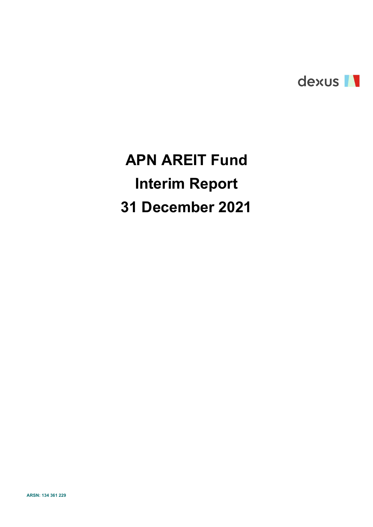

# APN AREIT Fund Interim Report 31 December 2021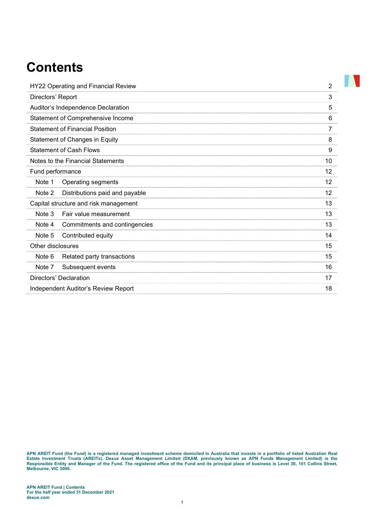## **Contents**

| HY22 Operating and Financial Review      | $\overline{2}$ |
|------------------------------------------|----------------|
| Directors' Report                        | 3              |
| Auditor's Independence Declaration       | 5              |
| Statement of Comprehensive Income        | 6              |
| <b>Statement of Financial Position</b>   | 7              |
| Statement of Changes in Equity           | 8              |
| <b>Statement of Cash Flows</b>           | 9              |
| Notes to the Financial Statements        | 10             |
| Fund performance                         | 12             |
| Note 1<br>Operating segments             | 12             |
| Note 2<br>Distributions paid and payable | 12             |
| Capital structure and risk management    | 13             |
| Note 3<br>Fair value measurement         | 13             |
| Note 4<br>Commitments and contingencies  | 13             |
| Note 5<br>Contributed equity             | 14             |
| Other disclosures                        | 15             |
| Note 6<br>Related party transactions     | 15             |
| Subsequent events<br>Note 7              | 16             |
| Directors' Declaration                   | 17             |
| Independent Auditor's Review Report      | 18             |

APN AREIT Fund (the Fund) is a registered managed investment scheme domiciled in Australia that invests in a portfolio of listed Australian Real Estate Investment Trusts (AREITs). Dexus Asset Management Limited (DXAM, previously known as APN Funds Management Limited) is the Responsible Entity and Manager of the Fund. The registered office of the Fund and its principal place of business is Level 30, 101 Collins Street, Melbourne, VIC 3000.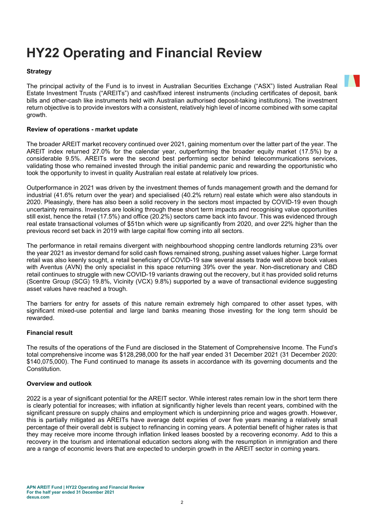## HY22 Operating and Financial Review

#### **Strategy**

The principal activity of the Fund is to invest in Australian Securities Exchange ("ASX") listed Australian Real Estate Investment Trusts ("AREITs") and cash/fixed interest instruments (including certificates of deposit, bank bills and other-cash like instruments held with Australian authorised deposit-taking institutions). The investment return objective is to provide investors with a consistent, relatively high level of income combined with some capital growth.

#### Review of operations - market update

The broader AREIT market recovery continued over 2021, gaining momentum over the latter part of the year. The AREIT index returned 27.0% for the calendar year, outperforming the broader equity market (17.5%) by a considerable 9.5%. AREITs were the second best performing sector behind telecommunications services, validating those who remained invested through the initial pandemic panic and rewarding the opportunistic who took the opportunity to invest in quality Australian real estate at relatively low prices.

Outperformance in 2021 was driven by the investment themes of funds management growth and the demand for industrial (41.6% return over the year) and specialised (40.2% return) real estate which were also standouts in 2020. Pleasingly, there has also been a solid recovery in the sectors most impacted by COVID-19 even though uncertainty remains. Investors are looking through these short term impacts and recognising value opportunities still exist, hence the retail (17.5%) and office (20.2%) sectors came back into favour. This was evidenced through real estate transactional volumes of \$51bn which were up significantly from 2020, and over 22% higher than the previous record set back in 2019 with large capital flow coming into all sectors.

The performance in retail remains divergent with neighbourhood shopping centre landlords returning 23% over the year 2021 as investor demand for solid cash flows remained strong, pushing asset values higher. Large format retail was also keenly sought, a retail beneficiary of COVID-19 saw several assets trade well above book values with Aventus (AVN) the only specialist in this space returning 39% over the year. Non-discretionary and CBD retail continues to struggle with new COVID-19 variants drawing out the recovery, but it has provided solid returns (Scentre Group (SCG) 19.8%, Vicinity (VCX) 9.8%) supported by a wave of transactional evidence suggesting asset values have reached a trough.

The barriers for entry for assets of this nature remain extremely high compared to other asset types, with significant mixed-use potential and large land banks meaning those investing for the long term should be rewarded.

#### Financial result

The results of the operations of the Fund are disclosed in the Statement of Comprehensive Income. The Fund's total comprehensive income was \$128,298,000 for the half year ended 31 December 2021 (31 December 2020: \$140,075,000). The Fund continued to manage its assets in accordance with its governing documents and the Constitution.

#### Overview and outlook

2022 is a year of significant potential for the AREIT sector. While interest rates remain low in the short term there is clearly potential for increases; with inflation at significantly higher levels than recent years, combined with the significant pressure on supply chains and employment which is underpinning price and wages growth. However, this is partially mitigated as AREITs have average debt expiries of over five years meaning a relatively small percentage of their overall debt is subject to refinancing in coming years. A potential benefit of higher rates is that they may receive more income through inflation linked leases boosted by a recovering economy. Add to this a recovery in the tourism and international education sectors along with the resumption in immigration and there are a range of economic levers that are expected to underpin growth in the AREIT sector in coming years.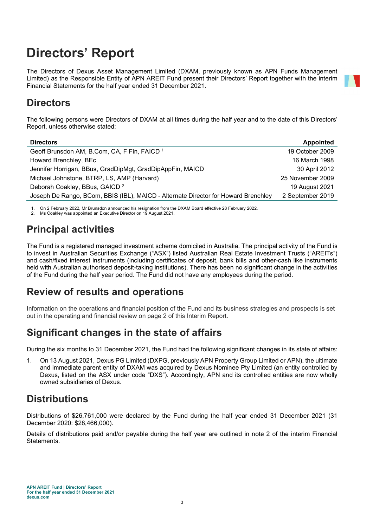## Directors' Report

The Directors of Dexus Asset Management Limited (DXAM, previously known as APN Funds Management Limited) as the Responsible Entity of APN AREIT Fund present their Directors' Report together with the interim Financial Statements for the half year ended 31 December 2021.

## **Directors**

The following persons were Directors of DXAM at all times during the half year and to the date of this Directors' Report, unless otherwise stated:

| <b>Directors</b>                                                                   | <b>Appointed</b> |
|------------------------------------------------------------------------------------|------------------|
| Geoff Brunsdon AM, B.Com, CA, F Fin, FAICD <sup>1</sup>                            | 19 October 2009  |
| Howard Brenchley, BEc                                                              | 16 March 1998    |
| Jennifer Horrigan, BBus, GradDipMgt, GradDipAppFin, MAICD                          | 30 April 2012    |
| Michael Johnstone, BTRP, LS, AMP (Harvard)                                         | 25 November 2009 |
| Deborah Coakley, BBus, GAICD <sup>2</sup>                                          | 19 August 2021   |
| Joseph De Rango, BCom, BBIS (IBL), MAICD - Alternate Director for Howard Brenchley | 2 September 2019 |
|                                                                                    |                  |

1. On 2 February 2022, Mr Brunsdon announced his resignation from the DXAM Board effective 28 February 2022.

2. Ms Coakley was appointed an Executive Director on 19 August 2021.

## Principal activities

The Fund is a registered managed investment scheme domiciled in Australia. The principal activity of the Fund is to invest in Australian Securities Exchange ("ASX") listed Australian Real Estate Investment Trusts ("AREITs") and cash/fixed interest instruments (including certificates of deposit, bank bills and other-cash like instruments held with Australian authorised deposit-taking institutions). There has been no significant change in the activities of the Fund during the half year period. The Fund did not have any employees during the period.

## Review of results and operations

Information on the operations and financial position of the Fund and its business strategies and prospects is set out in the operating and financial review on page 2 of this Interim Report.

## Significant changes in the state of affairs

During the six months to 31 December 2021, the Fund had the following significant changes in its state of affairs:

1. On 13 August 2021, Dexus PG Limited (DXPG, previously APN Property Group Limited or APN), the ultimate and immediate parent entity of DXAM was acquired by Dexus Nominee Pty Limited (an entity controlled by Dexus, listed on the ASX under code "DXS"). Accordingly, APN and its controlled entities are now wholly owned subsidiaries of Dexus.

## **Distributions**

Distributions of \$26,761,000 were declared by the Fund during the half year ended 31 December 2021 (31 December 2020: \$28,466,000).

Details of distributions paid and/or payable during the half year are outlined in note 2 of the interim Financial Statements.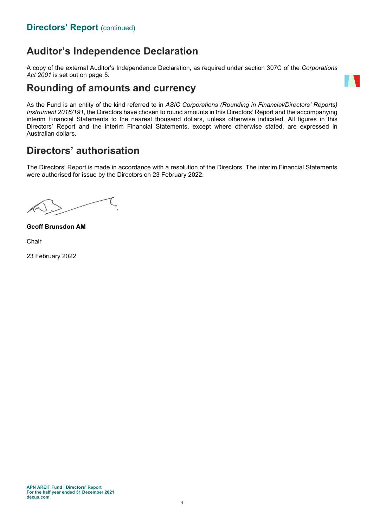## Auditor's Independence Declaration

A copy of the external Auditor's Independence Declaration, as required under section 307C of the Corporations Act 2001 is set out on page 5.

### Rounding of amounts and currency



As the Fund is an entity of the kind referred to in ASIC Corporations (Rounding in Financial/Directors' Reports) Instrument 2016/191, the Directors have chosen to round amounts in this Directors' Report and the accompanying interim Financial Statements to the nearest thousand dollars, unless otherwise indicated. All figures in this Directors' Report and the interim Financial Statements, except where otherwise stated, are expressed in Australian dollars.

## Directors' authorisation

The Directors' Report is made in accordance with a resolution of the Directors. The interim Financial Statements were authorised for issue by the Directors on 23 February 2022.

Geoff Brunsdon AM

Chair

23 February 2022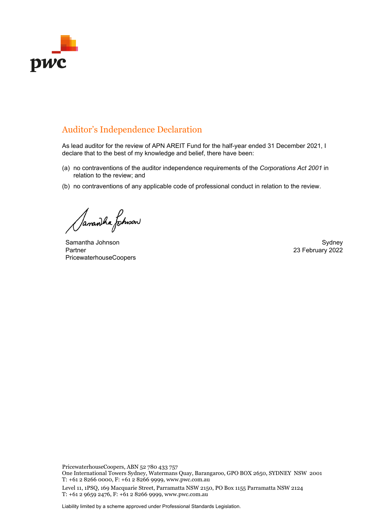

### Auditor's Independence Declaration

As lead auditor for the review of APN AREIT Fund for the half-year ended 31 December 2021, I declare that to the best of my knowledge and belief, there have been:

- (a) no contraventions of the auditor independence requirements of the *Corporations Act 2001* in relation to the review; and
- (b) no contraventions of any applicable code of professional conduct in relation to the review.

Samaniha fotmow

Samantha Johnson Sydney Sydney Sydney Sydney Sydney Sydney Sydney Sydney Sydney Sydney Sydney Sydney Sydney Sydney Partner PricewaterhouseCoopers

23 February 2022

PricewaterhouseCoopers, ABN 52 780 433 757

One International Towers Sydney, Watermans Quay, Barangaroo, GPO BOX 2650, SYDNEY NSW 2001 T: +61 2 8266 0000, F: +61 2 8266 9999, www.pwc.com.au

Level 11, 1PSQ, 169 Macquarie Street, Parramatta NSW 2150, PO Box 1155 Parramatta NSW 2124 T: +61 2 9659 2476, F: +61 2 8266 9999, www.pwc.com.au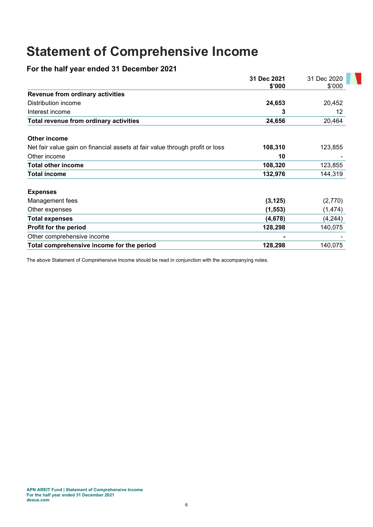## Statement of Comprehensive Income

### For the half year ended 31 December 2021

|                                                                              | 31 Dec 2021 | 31 Dec 2020 |
|------------------------------------------------------------------------------|-------------|-------------|
|                                                                              | \$'000      | \$'000      |
| <b>Revenue from ordinary activities</b>                                      |             |             |
| Distribution income                                                          | 24,653      | 20,452      |
| Interest income                                                              | 3           | 12          |
| Total revenue from ordinary activities                                       | 24,656      | 20,464      |
| Other income                                                                 |             |             |
| Net fair value gain on financial assets at fair value through profit or loss | 108,310     | 123,855     |
| Other income                                                                 | 10          |             |
| Total other income                                                           | 108,320     | 123,855     |
| Total income                                                                 | 132,976     | 144,319     |
| <b>Expenses</b>                                                              |             |             |
| Management fees                                                              | (3, 125)    | (2,770)     |
| Other expenses                                                               | (1, 553)    | (1, 474)    |
| <b>Total expenses</b>                                                        | (4,678)     | (4,244)     |
| Profit for the period                                                        | 128,298     | 140,075     |
| Other comprehensive income                                                   |             |             |
| Total comprehensive income for the period                                    | 128,298     | 140,075     |

The above Statement of Comprehensive Income should be read in conjunction with the accompanying notes.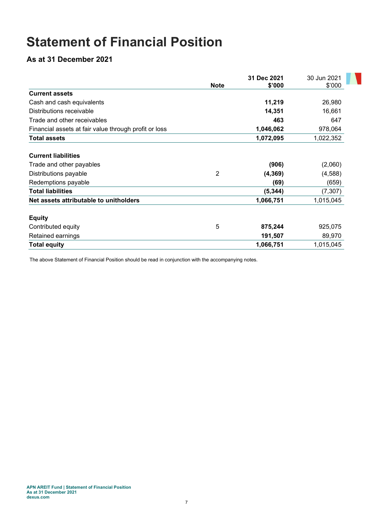## Statement of Financial Position

As at 31 December 2021

|                                                       |             | 31 Dec 2021 | 30 Jun 2021 |
|-------------------------------------------------------|-------------|-------------|-------------|
|                                                       | <b>Note</b> | \$'000      | \$'000      |
| <b>Current assets</b>                                 |             |             |             |
| Cash and cash equivalents                             |             | 11,219      | 26,980      |
| Distributions receivable                              |             | 14,351      | 16,661      |
| Trade and other receivables                           |             | 463         | 647         |
| Financial assets at fair value through profit or loss |             | 1,046,062   | 978,064     |
| <b>Total assets</b>                                   |             | 1,072,095   | 1,022,352   |
| <b>Current liabilities</b>                            |             |             |             |
| Trade and other payables                              |             | (906)       | (2,060)     |
| Distributions payable                                 | 2           | (4, 369)    | (4,588)     |
| Redemptions payable                                   |             | (69)        | (659)       |
| <b>Total liabilities</b>                              |             | (5, 344)    | (7, 307)    |
| Net assets attributable to unitholders                |             | 1,066,751   | 1,015,045   |
| <b>Equity</b>                                         |             |             |             |
| Contributed equity                                    | 5           | 875,244     | 925,075     |
| Retained earnings                                     |             | 191,507     | 89,970      |
| <b>Total equity</b>                                   |             | 1,066,751   | 1,015,045   |

A.

The above Statement of Financial Position should be read in conjunction with the accompanying notes.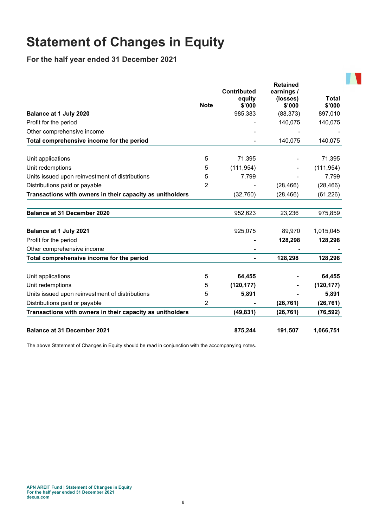## Statement of Changes in Equity

For the half year ended 31 December 2021

|                                                           |             | <b>Contributed</b><br>equity | <b>Retained</b><br>earnings /<br>(losses) | <b>Total</b> |
|-----------------------------------------------------------|-------------|------------------------------|-------------------------------------------|--------------|
|                                                           | <b>Note</b> | \$'000                       | \$'000                                    | \$'000       |
| Balance at 1 July 2020                                    |             | 985,383                      | (88, 373)                                 | 897,010      |
| Profit for the period                                     |             |                              | 140,075                                   | 140,075      |
| Other comprehensive income                                |             |                              |                                           |              |
| Total comprehensive income for the period                 |             |                              | 140,075                                   | 140,075      |
| Unit applications                                         | 5           | 71,395                       |                                           | 71,395       |
| Unit redemptions                                          | 5           | (111, 954)                   |                                           | (111, 954)   |
| Units issued upon reinvestment of distributions           | 5           | 7,799                        |                                           | 7,799        |
| Distributions paid or payable                             | 2           |                              | (28, 466)                                 | (28, 466)    |
| Transactions with owners in their capacity as unitholders |             | (32,760)                     | (28, 466)                                 | (61, 226)    |
| <b>Balance at 31 December 2020</b>                        |             | 952,623                      | 23,236                                    | 975,859      |
| Balance at 1 July 2021                                    |             | 925,075                      | 89,970                                    | 1,015,045    |
| Profit for the period                                     |             |                              | 128,298                                   | 128,298      |
| Other comprehensive income                                |             |                              |                                           |              |
| Total comprehensive income for the period                 |             |                              | 128,298                                   | 128,298      |
| Unit applications                                         | 5           | 64,455                       |                                           | 64,455       |
| Unit redemptions                                          | 5           | (120, 177)                   |                                           | (120, 177)   |
| Units issued upon reinvestment of distributions           | 5           | 5,891                        |                                           | 5,891        |
| Distributions paid or payable                             | 2           |                              | (26, 761)                                 | (26, 761)    |
| Transactions with owners in their capacity as unitholders |             | (49, 831)                    | (26, 761)                                 | (76, 592)    |
| <b>Balance at 31 December 2021</b>                        |             | 875,244                      | 191,507                                   | 1,066,751    |

The above Statement of Changes in Equity should be read in conjunction with the accompanying notes.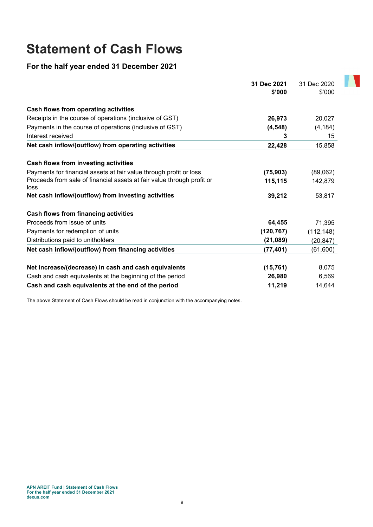## Statement of Cash Flows

For the half year ended 31 December 2021

|                                                                                | 31 Dec 2021 | 31 Dec 2020 |
|--------------------------------------------------------------------------------|-------------|-------------|
|                                                                                | \$'000      | \$'000      |
| Cash flows from operating activities                                           |             |             |
| Receipts in the course of operations (inclusive of GST)                        | 26,973      | 20,027      |
| Payments in the course of operations (inclusive of GST)                        | (4, 548)    | (4, 184)    |
| Interest received                                                              | 3           | 15          |
| Net cash inflow/(outflow) from operating activities                            | 22,428      | 15,858      |
| Cash flows from investing activities                                           |             |             |
| Payments for financial assets at fair value through profit or loss             | (75, 903)   | (89,062)    |
| Proceeds from sale of financial assets at fair value through profit or<br>loss | 115,115     | 142,879     |
| Net cash inflow/(outflow) from investing activities                            | 39,212      | 53,817      |
| Cash flows from financing activities                                           |             |             |
| Proceeds from issue of units                                                   | 64,455      | 71,395      |
| Payments for redemption of units                                               | (120, 767)  | (112, 148)  |
| Distributions paid to unitholders                                              | (21, 089)   | (20, 847)   |
| Net cash inflow/(outflow) from financing activities                            | (77, 401)   | (61, 600)   |
| Net increase/(decrease) in cash and cash equivalents                           | (15, 761)   | 8,075       |
| Cash and cash equivalents at the beginning of the period                       | 26,980      | 6,569       |
| Cash and cash equivalents at the end of the period                             | 11,219      | 14,644      |

**TAN** 

The above Statement of Cash Flows should be read in conjunction with the accompanying notes.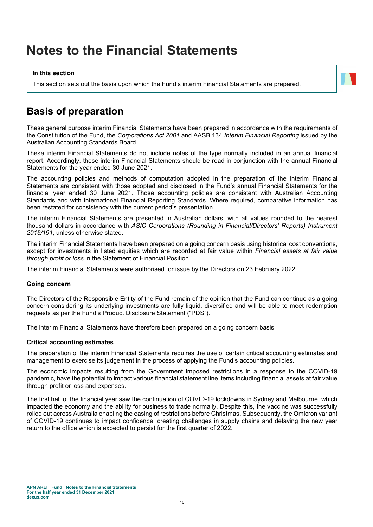## Notes to the Financial Statements

#### In this section

This section sets out the basis upon which the Fund's interim Financial Statements are prepared.

### Basis of preparation

These general purpose interim Financial Statements have been prepared in accordance with the requirements of the Constitution of the Fund, the Corporations Act 2001 and AASB 134 Interim Financial Reporting issued by the Australian Accounting Standards Board.

These interim Financial Statements do not include notes of the type normally included in an annual financial report. Accordingly, these interim Financial Statements should be read in conjunction with the annual Financial Statements for the year ended 30 June 2021.

The accounting policies and methods of computation adopted in the preparation of the interim Financial Statements are consistent with those adopted and disclosed in the Fund's annual Financial Statements for the financial year ended 30 June 2021. Those accounting policies are consistent with Australian Accounting Standards and with International Financial Reporting Standards. Where required, comparative information has been restated for consistency with the current period's presentation.

The interim Financial Statements are presented in Australian dollars, with all values rounded to the nearest thousand dollars in accordance with ASIC Corporations (Rounding in Financial/Directors' Reports) Instrument 2016/191, unless otherwise stated.

The interim Financial Statements have been prepared on a going concern basis using historical cost conventions, except for investments in listed equities which are recorded at fair value within Financial assets at fair value through profit or loss in the Statement of Financial Position.

The interim Financial Statements were authorised for issue by the Directors on 23 February 2022.

#### Going concern

The Directors of the Responsible Entity of the Fund remain of the opinion that the Fund can continue as a going concern considering its underlying investments are fully liquid, diversified and will be able to meet redemption requests as per the Fund's Product Disclosure Statement ("PDS").

The interim Financial Statements have therefore been prepared on a going concern basis.

#### Critical accounting estimates

The preparation of the interim Financial Statements requires the use of certain critical accounting estimates and management to exercise its judgement in the process of applying the Fund's accounting policies.

The economic impacts resulting from the Government imposed restrictions in a response to the COVID-19 pandemic, have the potential to impact various financial statement line items including financial assets at fair value through profit or loss and expenses.

The first half of the financial year saw the continuation of COVID-19 lockdowns in Sydney and Melbourne, which impacted the economy and the ability for business to trade normally. Despite this, the vaccine was successfully rolled out across Australia enabling the easing of restrictions before Christmas. Subsequently, the Omicron variant of COVID-19 continues to impact confidence, creating challenges in supply chains and delaying the new year return to the office which is expected to persist for the first quarter of 2022.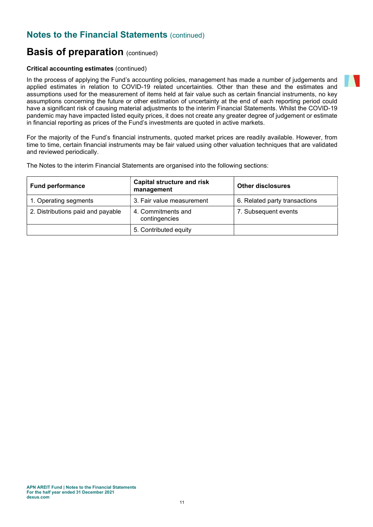### **Notes to the Financial Statements (continued)**

### **Basis of preparation (continued)**

#### Critical accounting estimates (continued)

In the process of applying the Fund's accounting policies, management has made a number of judgements and applied estimates in relation to COVID-19 related uncertainties. Other than these and the estimates and assumptions used for the measurement of items held at fair value such as certain financial instruments, no key assumptions concerning the future or other estimation of uncertainty at the end of each reporting period could have a significant risk of causing material adjustments to the interim Financial Statements. Whilst the COVID-19 pandemic may have impacted listed equity prices, it does not create any greater degree of judgement or estimate in financial reporting as prices of the Fund's investments are quoted in active markets.

For the majority of the Fund's financial instruments, quoted market prices are readily available. However, from time to time, certain financial instruments may be fair valued using other valuation techniques that are validated and reviewed periodically.

The Notes to the interim Financial Statements are organised into the following sections:

| <b>Fund performance</b>           | <b>Capital structure and risk</b><br>management | <b>Other disclosures</b>      |
|-----------------------------------|-------------------------------------------------|-------------------------------|
| 1. Operating segments             | 3. Fair value measurement                       | 6. Related party transactions |
| 2. Distributions paid and payable | 4. Commitments and<br>contingencies             | 7. Subsequent events          |
|                                   | 5. Contributed equity                           |                               |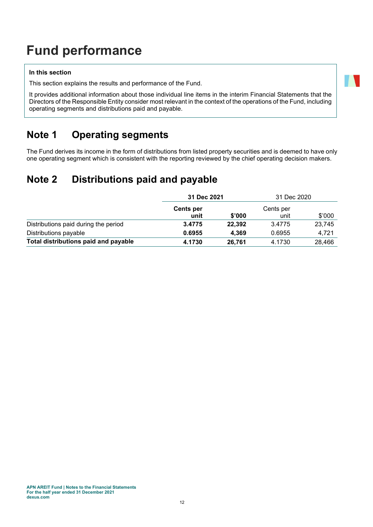## Fund performance

#### In this section

This section explains the results and performance of the Fund.

It provides additional information about those individual line items in the interim Financial Statements that the Directors of the Responsible Entity consider most relevant in the context of the operations of the Fund, including operating segments and distributions paid and payable.

## Note 1 Operating segments

The Fund derives its income in the form of distributions from listed property securities and is deemed to have only one operating segment which is consistent with the reporting reviewed by the chief operating decision makers.

## Note 2 Distributions paid and payable

|                                      | 31 Dec 2021              |        | 31 Dec 2020       |        |
|--------------------------------------|--------------------------|--------|-------------------|--------|
|                                      | <b>Cents per</b><br>unit | \$'000 | Cents per<br>unit | \$'000 |
| Distributions paid during the period | 3.4775                   | 22,392 | 3.4775            | 23,745 |
| Distributions payable                | 0.6955                   | 4.369  | 0.6955            | 4.721  |
| Total distributions paid and payable | 4.1730                   | 26,761 | 4.1730            | 28.466 |

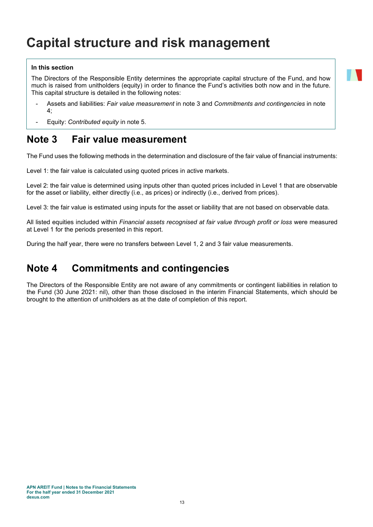## Capital structure and risk management

#### In this section

The Directors of the Responsible Entity determines the appropriate capital structure of the Fund, and how much is raised from unitholders (equity) in order to finance the Fund's activities both now and in the future. This capital structure is detailed in the following notes:

- Assets and liabilities: Fair value measurement in note 3 and Commitments and contingencies in note 4;
- Equity: Contributed equity in note 5.

### Note 3 Fair value measurement

The Fund uses the following methods in the determination and disclosure of the fair value of financial instruments:

Level 1: the fair value is calculated using quoted prices in active markets.

Level 2: the fair value is determined using inputs other than quoted prices included in Level 1 that are observable for the asset or liability, either directly (i.e., as prices) or indirectly (i.e., derived from prices).

Level 3: the fair value is estimated using inputs for the asset or liability that are not based on observable data.

All listed equities included within Financial assets recognised at fair value through profit or loss were measured at Level 1 for the periods presented in this report.

During the half year, there were no transfers between Level 1, 2 and 3 fair value measurements.

### Note 4 Commitments and contingencies

The Directors of the Responsible Entity are not aware of any commitments or contingent liabilities in relation to the Fund (30 June 2021: nil), other than those disclosed in the interim Financial Statements, which should be brought to the attention of unitholders as at the date of completion of this report.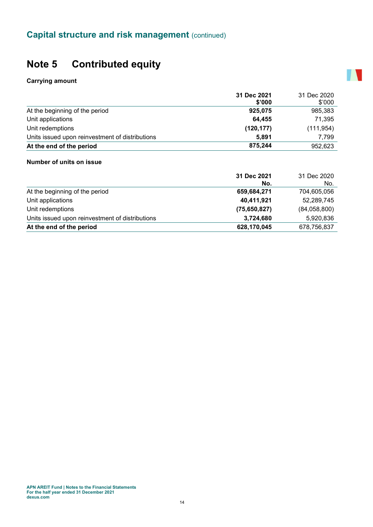## Note 5 Contributed equity

#### Carrying amount

|                                                 | 31 Dec 2021 | 31 Dec 2020 |
|-------------------------------------------------|-------------|-------------|
|                                                 | \$'000      | \$'000      |
| At the beginning of the period                  | 925,075     | 985,383     |
| Unit applications                               | 64,455      | 71,395      |
| Unit redemptions                                | (120, 177)  | (111, 954)  |
| Units issued upon reinvestment of distributions | 5.891       | 7.799       |
| At the end of the period                        | 875,244     | 952,623     |

**A** 

#### Number of units on issue

| 31 Dec 2020<br>No. |
|--------------------|
| 704,605,056        |
| 52,289,745         |
| (84,058,800)       |
| 5,920,836          |
| 678,756,837        |
|                    |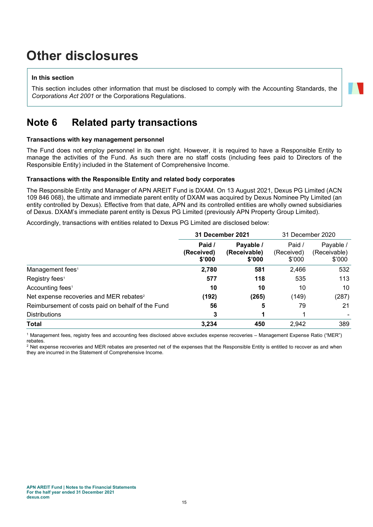## Other disclosures

#### In this section

This section includes other information that must be disclosed to comply with the Accounting Standards, the Corporations Act 2001 or the Corporations Regulations.

## Note 6 Related party transactions

#### Transactions with key management personnel

The Fund does not employ personnel in its own right. However, it is required to have a Responsible Entity to manage the activities of the Fund. As such there are no staff costs (including fees paid to Directors of the Responsible Entity) included in the Statement of Comprehensive Income.

#### Transactions with the Responsible Entity and related body corporates

The Responsible Entity and Manager of APN AREIT Fund is DXAM. On 13 August 2021, Dexus PG Limited (ACN 109 846 068), the ultimate and immediate parent entity of DXAM was acquired by Dexus Nominee Pty Limited (an entity controlled by Dexus). Effective from that date, APN and its controlled entities are wholly owned subsidiaries of Dexus. DXAM's immediate parent entity is Dexus PG Limited (previously APN Property Group Limited).

Accordingly, transactions with entities related to Dexus PG Limited are disclosed below:

|                                                     | <b>31 December 2021</b>        |                                     | 31 December 2020               |                                     |
|-----------------------------------------------------|--------------------------------|-------------------------------------|--------------------------------|-------------------------------------|
|                                                     | Paid /<br>(Received)<br>\$'000 | Payable /<br>(Receivable)<br>\$'000 | Paid /<br>(Received)<br>\$'000 | Payable /<br>(Receivable)<br>\$'000 |
| Management fees <sup>1</sup>                        | 2,780                          | 581                                 | 2,466                          | 532                                 |
| Registry fees <sup>1</sup>                          | 577                            | 118                                 | 535                            | 113                                 |
| Accounting fees <sup>1</sup>                        | 10                             | 10                                  | 10                             | 10                                  |
| Net expense recoveries and MER rebates <sup>2</sup> | (192)                          | (265)                               | (149)                          | (287)                               |
| Reimbursement of costs paid on behalf of the Fund   | 56                             | 5                                   | 79                             | 21                                  |
| <b>Distributions</b>                                | 3                              |                                     |                                |                                     |
| <b>Total</b>                                        | 3.234                          | 450                                 | 2.942                          | 389                                 |

1 Management fees, registry fees and accounting fees disclosed above excludes expense recoveries – Management Expense Ratio ("MER") rebates.

 $^{\rm 2}$  Net expense recoveries and MER rebates are presented net of the expenses that the Responsible Entity is entitled to recover as and when they are incurred in the Statement of Comprehensive Income.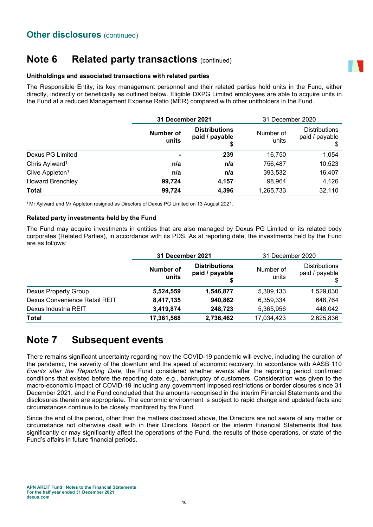## Note 6 Related party transactions (continued)

#### Unitholdings and associated transactions with related parties

The Responsible Entity, its key management personnel and their related parties hold units in the Fund, either directly, indirectly or beneficially as outlined below. Eligible DXPG Limited employees are able to acquire units in the Fund at a reduced Management Expense Ratio (MER) compared with other unitholders in the Fund.

|                             |                    | <b>31 December 2021</b>                |                    | 31 December 2020                       |
|-----------------------------|--------------------|----------------------------------------|--------------------|----------------------------------------|
|                             | Number of<br>units | <b>Distributions</b><br>paid / payable | Number of<br>units | <b>Distributions</b><br>paid / payable |
| Dexus PG Limited            | $\blacksquare$     | 239                                    | 16,750             | 1,054                                  |
| Chris Aylward <sup>1</sup>  | n/a                | n/a                                    | 756,487            | 10,523                                 |
| Clive Appleton <sup>1</sup> | n/a                | n/a                                    | 393,532            | 16,407                                 |
| <b>Howard Brenchley</b>     | 99,724             | 4,157                                  | 98,964             | 4,126                                  |
| <b>Total</b>                | 99,724             | 4,396                                  | 1,265,733          | 32,110                                 |

<sup>1</sup>Mr Aylward and Mr Appleton resigned as Directors of Dexus PG Limited on 13 August 2021.

#### Related party investments held by the Fund

The Fund may acquire investments in entities that are also managed by Dexus PG Limited or its related body corporates (Related Parties), in accordance with its PDS. As at reporting date, the investments held by the Fund are as follows:

|                               | <b>31 December 2021</b> |                                        | 31 December 2020   |                                        |
|-------------------------------|-------------------------|----------------------------------------|--------------------|----------------------------------------|
|                               | Number of<br>units      | <b>Distributions</b><br>paid / payable | Number of<br>units | <b>Distributions</b><br>paid / payable |
| Dexus Property Group          | 5,524,559               | 1,546,877                              | 5,309,133          | 1,529,030                              |
| Dexus Convenience Retail REIT | 8,417,135               | 940,862                                | 6,359,334          | 648,764                                |
| Dexus Industria REIT          | 3,419,874               | 248,723                                | 5,365,956          | 448,042                                |
| Total                         | 17,361,568              | 2,736,462                              | 17,034,423         | 2,625,836                              |

## Note 7 Subsequent events

There remains significant uncertainty regarding how the COVID-19 pandemic will evolve, including the duration of the pandemic, the severity of the downturn and the speed of economic recovery. In accordance with AASB 110 Events after the Reporting Date, the Fund considered whether events after the reporting period confirmed conditions that existed before the reporting date, e.g., bankruptcy of customers. Consideration was given to the macro-economic impact of COVID-19 including any government imposed restrictions or border closures since 31 December 2021, and the Fund concluded that the amounts recognised in the interim Financial Statements and the disclosures therein are appropriate. The economic environment is subject to rapid change and updated facts and circumstances continue to be closely monitored by the Fund.

Since the end of the period, other than the matters disclosed above, the Directors are not aware of any matter or circumstance not otherwise dealt with in their Directors' Report or the interim Financial Statements that has significantly or may significantly affect the operations of the Fund, the results of those operations, or state of the Fund's affairs in future financial periods.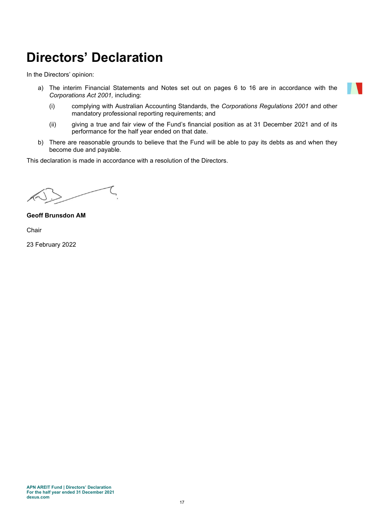## Directors' Declaration

In the Directors' opinion:

- a) The interim Financial Statements and Notes set out on pages 6 to 16 are in accordance with the Corporations Act 2001, including:
	- (i) complying with Australian Accounting Standards, the Corporations Regulations 2001 and other mandatory professional reporting requirements; and
	- (ii) giving a true and fair view of the Fund's financial position as at 31 December 2021 and of its performance for the half year ended on that date.
- b) There are reasonable grounds to believe that the Fund will be able to pay its debts as and when they become due and payable.

This declaration is made in accordance with a resolution of the Directors.

Geoff Brunsdon AM

Chair

23 February 2022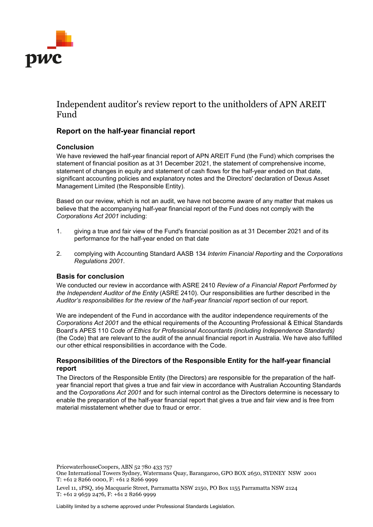

### Independent auditor's review report to the unitholders of APN AREIT Fund

#### **Report on the half-year financial report**

#### **Conclusion**

We have reviewed the half-year financial report of APN AREIT Fund (the Fund) which comprises the statement of financial position as at 31 December 2021, the statement of comprehensive income, statement of changes in equity and statement of cash flows for the half-year ended on that date, significant accounting policies and explanatory notes and the Directors' declaration of Dexus Asset Management Limited (the Responsible Entity).

Based on our review, which is not an audit, we have not become aware of any matter that makes us believe that the accompanying half-year financial report of the Fund does not comply with the *Corporations Act 2001* including:

- 1. giving a true and fair view of the Fund's financial position as at 31 December 2021 and of its performance for the half-year ended on that date
- 2. complying with Accounting Standard AASB 134 *Interim Financial Reporting* and the *Corporations Regulations 2001*.

#### **Basis for conclusion**

We conducted our review in accordance with ASRE 2410 *Review of a Financial Report Performed by the Independent Auditor of the Entity* (ASRE 2410). Our responsibilities are further described in the *Auditor's responsibilities for the review of the half-year financial report* section of our report.

We are independent of the Fund in accordance with the auditor independence requirements of the *Corporations Act 2001* and the ethical requirements of the Accounting Professional & Ethical Standards Board's APES 110 *Code of Ethics for Professional Accountants (including Independence Standards)* (the Code) that are relevant to the audit of the annual financial report in Australia. We have also fulfilled our other ethical responsibilities in accordance with the Code.

#### **Responsibilities of the Directors of the Responsible Entity for the half-year financial report**

The Directors of the Responsible Entity (the Directors) are responsible for the preparation of the halfyear financial report that gives a true and fair view in accordance with Australian Accounting Standards and the *Corporations Act 2001* and for such internal control as the Directors determine is necessary to enable the preparation of the half-year financial report that gives a true and fair view and is free from material misstatement whether due to fraud or error.

PricewaterhouseCoopers, ABN 52 780 433 757

Liability limited by a scheme approved under Professional Standards Legislation.

One International Towers Sydney, Watermans Quay, Barangaroo, GPO BOX 2650, SYDNEY NSW 2001 T: +61 2 8266 0000, F: +61 2 8266 9999

Level 11, 1PSQ, 169 Macquarie Street, Parramatta NSW 2150, PO Box 1155 Parramatta NSW 2124 T: +61 2 9659 2476, F: +61 2 8266 9999